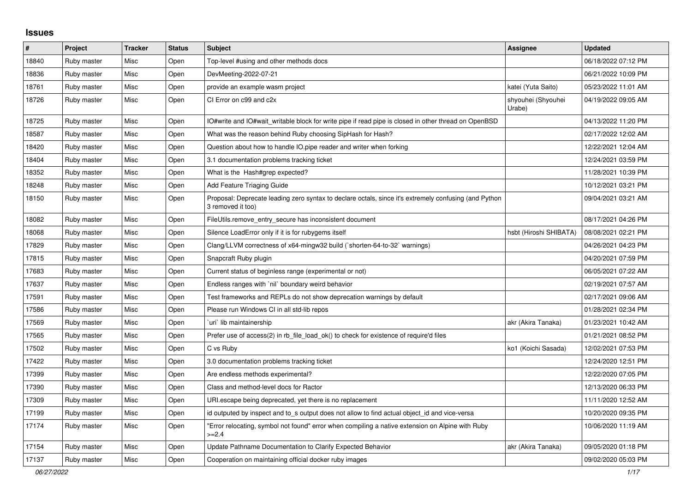## **Issues**

| $\pmb{\#}$ | Project     | <b>Tracker</b> | <b>Status</b> | <b>Subject</b>                                                                                                             | Assignee                     | <b>Updated</b>      |
|------------|-------------|----------------|---------------|----------------------------------------------------------------------------------------------------------------------------|------------------------------|---------------------|
| 18840      | Ruby master | Misc           | Open          | Top-level #using and other methods docs                                                                                    |                              | 06/18/2022 07:12 PM |
| 18836      | Ruby master | Misc           | Open          | DevMeeting-2022-07-21                                                                                                      |                              | 06/21/2022 10:09 PM |
| 18761      | Ruby master | Misc           | Open          | provide an example wasm project                                                                                            | katei (Yuta Saito)           | 05/23/2022 11:01 AM |
| 18726      | Ruby master | Misc           | Open          | CI Error on c99 and c2x                                                                                                    | shyouhei (Shyouhei<br>Urabe) | 04/19/2022 09:05 AM |
| 18725      | Ruby master | Misc           | Open          | IO#write and IO#wait writable block for write pipe if read pipe is closed in other thread on OpenBSD                       |                              | 04/13/2022 11:20 PM |
| 18587      | Ruby master | Misc           | Open          | What was the reason behind Ruby choosing SipHash for Hash?                                                                 |                              | 02/17/2022 12:02 AM |
| 18420      | Ruby master | Misc           | Open          | Question about how to handle IO.pipe reader and writer when forking                                                        |                              | 12/22/2021 12:04 AM |
| 18404      | Ruby master | Misc           | Open          | 3.1 documentation problems tracking ticket                                                                                 |                              | 12/24/2021 03:59 PM |
| 18352      | Ruby master | Misc           | Open          | What is the Hash#grep expected?                                                                                            |                              | 11/28/2021 10:39 PM |
| 18248      | Ruby master | Misc           | Open          | <b>Add Feature Triaging Guide</b>                                                                                          |                              | 10/12/2021 03:21 PM |
| 18150      | Ruby master | Misc           | Open          | Proposal: Deprecate leading zero syntax to declare octals, since it's extremely confusing (and Python<br>3 removed it too) |                              | 09/04/2021 03:21 AM |
| 18082      | Ruby master | Misc           | Open          | FileUtils.remove entry secure has inconsistent document                                                                    |                              | 08/17/2021 04:26 PM |
| 18068      | Ruby master | Misc           | Open          | Silence LoadError only if it is for rubygems itself                                                                        | hsbt (Hiroshi SHIBATA)       | 08/08/2021 02:21 PM |
| 17829      | Ruby master | Misc           | Open          | Clang/LLVM correctness of x64-mingw32 build (`shorten-64-to-32` warnings)                                                  |                              | 04/26/2021 04:23 PM |
| 17815      | Ruby master | Misc           | Open          | Snapcraft Ruby plugin                                                                                                      |                              | 04/20/2021 07:59 PM |
| 17683      | Ruby master | Misc           | Open          | Current status of beginless range (experimental or not)                                                                    |                              | 06/05/2021 07:22 AM |
| 17637      | Ruby master | Misc           | Open          | Endless ranges with `nil` boundary weird behavior                                                                          |                              | 02/19/2021 07:57 AM |
| 17591      | Ruby master | Misc           | Open          | Test frameworks and REPLs do not show deprecation warnings by default                                                      |                              | 02/17/2021 09:06 AM |
| 17586      | Ruby master | Misc           | Open          | Please run Windows CI in all std-lib repos                                                                                 |                              | 01/28/2021 02:34 PM |
| 17569      | Ruby master | Misc           | Open          | uri lib maintainership                                                                                                     | akr (Akira Tanaka)           | 01/23/2021 10:42 AM |
| 17565      | Ruby master | Misc           | Open          | Prefer use of access(2) in rb file load ok() to check for existence of require'd files                                     |                              | 01/21/2021 08:52 PM |
| 17502      | Ruby master | Misc           | Open          | C vs Ruby                                                                                                                  | ko1 (Koichi Sasada)          | 12/02/2021 07:53 PM |
| 17422      | Ruby master | Misc           | Open          | 3.0 documentation problems tracking ticket                                                                                 |                              | 12/24/2020 12:51 PM |
| 17399      | Ruby master | Misc           | Open          | Are endless methods experimental?                                                                                          |                              | 12/22/2020 07:05 PM |
| 17390      | Ruby master | Misc           | Open          | Class and method-level docs for Ractor                                                                                     |                              | 12/13/2020 06:33 PM |
| 17309      | Ruby master | Misc           | Open          | URI escape being deprecated, yet there is no replacement                                                                   |                              | 11/11/2020 12:52 AM |
| 17199      | Ruby master | Misc           | Open          | id outputed by inspect and to s output does not allow to find actual object id and vice-versa                              |                              | 10/20/2020 09:35 PM |
| 17174      | Ruby master | Misc           | Open          | "Error relocating, symbol not found" error when compiling a native extension on Alpine with Ruby<br>$>=2.4$                |                              | 10/06/2020 11:19 AM |
| 17154      | Ruby master | Misc           | Open          | Update Pathname Documentation to Clarify Expected Behavior                                                                 | akr (Akira Tanaka)           | 09/05/2020 01:18 PM |
| 17137      | Ruby master | Misc           | Open          | Cooperation on maintaining official docker ruby images                                                                     |                              | 09/02/2020 05:03 PM |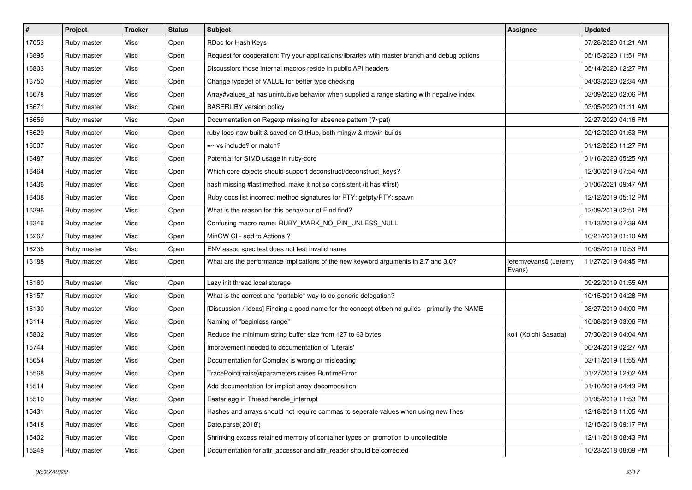| #     | Project     | <b>Tracker</b> | <b>Status</b> | Subject                                                                                        | Assignee                       | <b>Updated</b>      |
|-------|-------------|----------------|---------------|------------------------------------------------------------------------------------------------|--------------------------------|---------------------|
| 17053 | Ruby master | Misc           | Open          | RDoc for Hash Keys                                                                             |                                | 07/28/2020 01:21 AM |
| 16895 | Ruby master | Misc           | Open          | Request for cooperation: Try your applications/libraries with master branch and debug options  |                                | 05/15/2020 11:51 PM |
| 16803 | Ruby master | Misc           | Open          | Discussion: those internal macros reside in public API headers                                 |                                | 05/14/2020 12:27 PM |
| 16750 | Ruby master | Misc           | Open          | Change typedef of VALUE for better type checking                                               |                                | 04/03/2020 02:34 AM |
| 16678 | Ruby master | Misc           | Open          | Array#values_at has unintuitive behavior when supplied a range starting with negative index    |                                | 03/09/2020 02:06 PM |
| 16671 | Ruby master | Misc           | Open          | <b>BASERUBY</b> version policy                                                                 |                                | 03/05/2020 01:11 AM |
| 16659 | Ruby master | Misc           | Open          | Documentation on Regexp missing for absence pattern (?~pat)                                    |                                | 02/27/2020 04:16 PM |
| 16629 | Ruby master | Misc           | Open          | ruby-loco now built & saved on GitHub, both mingw & mswin builds                               |                                | 02/12/2020 01:53 PM |
| 16507 | Ruby master | Misc           | Open          | $=$ vs include? or match?                                                                      |                                | 01/12/2020 11:27 PM |
| 16487 | Ruby master | Misc           | Open          | Potential for SIMD usage in ruby-core                                                          |                                | 01/16/2020 05:25 AM |
| 16464 | Ruby master | Misc           | Open          | Which core objects should support deconstruct/deconstruct_keys?                                |                                | 12/30/2019 07:54 AM |
| 16436 | Ruby master | Misc           | Open          | hash missing #last method, make it not so consistent (it has #first)                           |                                | 01/06/2021 09:47 AM |
| 16408 | Ruby master | Misc           | Open          | Ruby docs list incorrect method signatures for PTY::getpty/PTY::spawn                          |                                | 12/12/2019 05:12 PM |
| 16396 | Ruby master | Misc           | Open          | What is the reason for this behaviour of Find.find?                                            |                                | 12/09/2019 02:51 PM |
| 16346 | Ruby master | Misc           | Open          | Confusing macro name: RUBY_MARK_NO_PIN_UNLESS_NULL                                             |                                | 11/13/2019 07:39 AM |
| 16267 | Ruby master | Misc           | Open          | MinGW CI - add to Actions?                                                                     |                                | 10/21/2019 01:10 AM |
| 16235 | Ruby master | Misc           | Open          | ENV assoc spec test does not test invalid name                                                 |                                | 10/05/2019 10:53 PM |
| 16188 | Ruby master | Misc           | Open          | What are the performance implications of the new keyword arguments in 2.7 and 3.0?             | jeremyevans0 (Jeremy<br>Evans) | 11/27/2019 04:45 PM |
| 16160 | Ruby master | Misc           | Open          | Lazy init thread local storage                                                                 |                                | 09/22/2019 01:55 AM |
| 16157 | Ruby master | Misc           | Open          | What is the correct and *portable* way to do generic delegation?                               |                                | 10/15/2019 04:28 PM |
| 16130 | Ruby master | Misc           | Open          | [Discussion / Ideas] Finding a good name for the concept of/behind guilds - primarily the NAME |                                | 08/27/2019 04:00 PM |
| 16114 | Ruby master | Misc           | Open          | Naming of "beginless range"                                                                    |                                | 10/08/2019 03:06 PM |
| 15802 | Ruby master | Misc           | Open          | Reduce the minimum string buffer size from 127 to 63 bytes                                     | ko1 (Koichi Sasada)            | 07/30/2019 04:04 AM |
| 15744 | Ruby master | Misc           | Open          | Improvement needed to documentation of 'Literals'                                              |                                | 06/24/2019 02:27 AM |
| 15654 | Ruby master | Misc           | Open          | Documentation for Complex is wrong or misleading                                               |                                | 03/11/2019 11:55 AM |
| 15568 | Ruby master | Misc           | Open          | TracePoint(:raise)#parameters raises RuntimeError                                              |                                | 01/27/2019 12:02 AM |
| 15514 | Ruby master | Misc           | Open          | Add documentation for implicit array decomposition                                             |                                | 01/10/2019 04:43 PM |
| 15510 | Ruby master | Misc           | Open          | Easter egg in Thread.handle_interrupt                                                          |                                | 01/05/2019 11:53 PM |
| 15431 | Ruby master | Misc           | Open          | Hashes and arrays should not require commas to seperate values when using new lines            |                                | 12/18/2018 11:05 AM |
| 15418 | Ruby master | Misc           | Open          | Date.parse('2018')                                                                             |                                | 12/15/2018 09:17 PM |
| 15402 | Ruby master | Misc           | Open          | Shrinking excess retained memory of container types on promotion to uncollectible              |                                | 12/11/2018 08:43 PM |
| 15249 | Ruby master | Misc           | Open          | Documentation for attr_accessor and attr_reader should be corrected                            |                                | 10/23/2018 08:09 PM |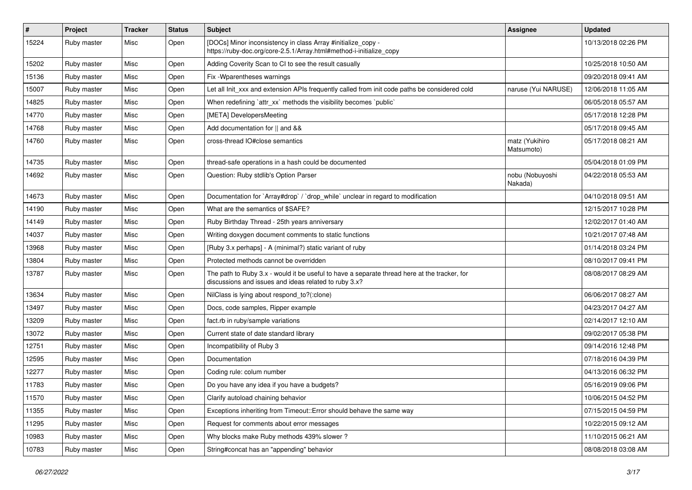| #     | Project     | <b>Tracker</b> | <b>Status</b> | <b>Subject</b>                                                                                                                                        | Assignee                     | <b>Updated</b>      |
|-------|-------------|----------------|---------------|-------------------------------------------------------------------------------------------------------------------------------------------------------|------------------------------|---------------------|
| 15224 | Ruby master | Misc           | Open          | [DOCs] Minor inconsistency in class Array #initialize_copy -<br>https://ruby-doc.org/core-2.5.1/Array.html#method-i-initialize_copy                   |                              | 10/13/2018 02:26 PM |
| 15202 | Ruby master | Misc           | Open          | Adding Coverity Scan to CI to see the result casually                                                                                                 |                              | 10/25/2018 10:50 AM |
| 15136 | Ruby master | Misc           | Open          | Fix - Wparentheses warnings                                                                                                                           |                              | 09/20/2018 09:41 AM |
| 15007 | Ruby master | Misc           | Open          | Let all Init_xxx and extension APIs frequently called from init code paths be considered cold                                                         | naruse (Yui NARUSE)          | 12/06/2018 11:05 AM |
| 14825 | Ruby master | Misc           | Open          | When redefining 'attr xx' methods the visibility becomes 'public'                                                                                     |                              | 06/05/2018 05:57 AM |
| 14770 | Ruby master | Misc           | Open          | [META] DevelopersMeeting                                                                                                                              |                              | 05/17/2018 12:28 PM |
| 14768 | Ruby master | Misc           | Open          | Add documentation for    and &&                                                                                                                       |                              | 05/17/2018 09:45 AM |
| 14760 | Ruby master | Misc           | Open          | cross-thread IO#close semantics                                                                                                                       | matz (Yukihiro<br>Matsumoto) | 05/17/2018 08:21 AM |
| 14735 | Ruby master | Misc           | Open          | thread-safe operations in a hash could be documented                                                                                                  |                              | 05/04/2018 01:09 PM |
| 14692 | Ruby master | Misc           | Open          | Question: Ruby stdlib's Option Parser                                                                                                                 | nobu (Nobuyoshi<br>Nakada)   | 04/22/2018 05:53 AM |
| 14673 | Ruby master | Misc           | Open          | Documentation for `Array#drop` / `drop_while` unclear in regard to modification                                                                       |                              | 04/10/2018 09:51 AM |
| 14190 | Ruby master | Misc           | Open          | What are the semantics of \$SAFE?                                                                                                                     |                              | 12/15/2017 10:28 PM |
| 14149 | Ruby master | Misc           | Open          | Ruby Birthday Thread - 25th years anniversary                                                                                                         |                              | 12/02/2017 01:40 AM |
| 14037 | Ruby master | Misc           | Open          | Writing doxygen document comments to static functions                                                                                                 |                              | 10/21/2017 07:48 AM |
| 13968 | Ruby master | Misc           | Open          | [Ruby 3.x perhaps] - A (minimal?) static variant of ruby                                                                                              |                              | 01/14/2018 03:24 PM |
| 13804 | Ruby master | Misc           | Open          | Protected methods cannot be overridden                                                                                                                |                              | 08/10/2017 09:41 PM |
| 13787 | Ruby master | Misc           | Open          | The path to Ruby 3.x - would it be useful to have a separate thread here at the tracker, for<br>discussions and issues and ideas related to ruby 3.x? |                              | 08/08/2017 08:29 AM |
| 13634 | Ruby master | Misc           | Open          | NilClass is lying about respond_to?(:clone)                                                                                                           |                              | 06/06/2017 08:27 AM |
| 13497 | Ruby master | Misc           | Open          | Docs, code samples, Ripper example                                                                                                                    |                              | 04/23/2017 04:27 AM |
| 13209 | Ruby master | Misc           | Open          | fact.rb in ruby/sample variations                                                                                                                     |                              | 02/14/2017 12:10 AM |
| 13072 | Ruby master | Misc           | Open          | Current state of date standard library                                                                                                                |                              | 09/02/2017 05:38 PM |
| 12751 | Ruby master | Misc           | Open          | Incompatibility of Ruby 3                                                                                                                             |                              | 09/14/2016 12:48 PM |
| 12595 | Ruby master | Misc           | Open          | Documentation                                                                                                                                         |                              | 07/18/2016 04:39 PM |
| 12277 | Ruby master | Misc           | Open          | Coding rule: colum number                                                                                                                             |                              | 04/13/2016 06:32 PM |
| 11783 | Ruby master | Misc           | Open          | Do you have any idea if you have a budgets?                                                                                                           |                              | 05/16/2019 09:06 PM |
| 11570 | Ruby master | Misc           | Open          | Clarify autoload chaining behavior                                                                                                                    |                              | 10/06/2015 04:52 PM |
| 11355 | Ruby master | Misc           | Open          | Exceptions inheriting from Timeout::Error should behave the same way                                                                                  |                              | 07/15/2015 04:59 PM |
| 11295 | Ruby master | Misc           | Open          | Request for comments about error messages                                                                                                             |                              | 10/22/2015 09:12 AM |
| 10983 | Ruby master | Misc           | Open          | Why blocks make Ruby methods 439% slower?                                                                                                             |                              | 11/10/2015 06:21 AM |
| 10783 | Ruby master | Misc           | Open          | String#concat has an "appending" behavior                                                                                                             |                              | 08/08/2018 03:08 AM |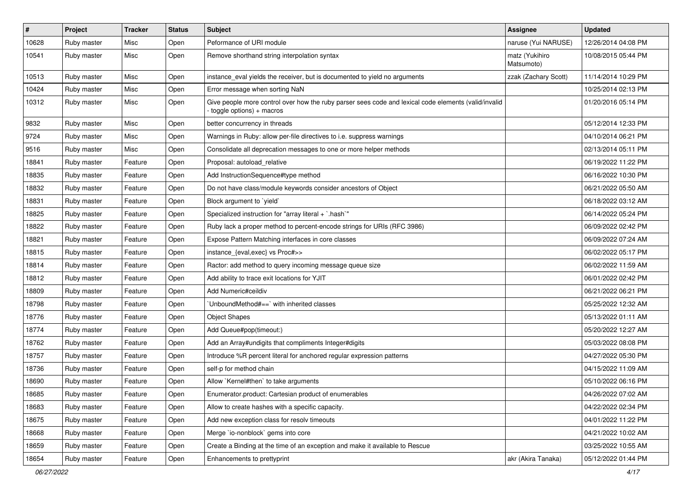| $\sharp$ | Project     | <b>Tracker</b> | <b>Status</b> | Subject                                                                                                                          | Assignee                     | <b>Updated</b>      |
|----------|-------------|----------------|---------------|----------------------------------------------------------------------------------------------------------------------------------|------------------------------|---------------------|
| 10628    | Ruby master | Misc           | Open          | Peformance of URI module                                                                                                         | naruse (Yui NARUSE)          | 12/26/2014 04:08 PM |
| 10541    | Ruby master | Misc           | Open          | Remove shorthand string interpolation syntax                                                                                     | matz (Yukihiro<br>Matsumoto) | 10/08/2015 05:44 PM |
| 10513    | Ruby master | Misc           | Open          | instance_eval yields the receiver, but is documented to yield no arguments                                                       | zzak (Zachary Scott)         | 11/14/2014 10:29 PM |
| 10424    | Ruby master | Misc           | Open          | Error message when sorting NaN                                                                                                   |                              | 10/25/2014 02:13 PM |
| 10312    | Ruby master | Misc           | Open          | Give people more control over how the ruby parser sees code and lexical code elements (valid/invalid<br>toggle options) + macros |                              | 01/20/2016 05:14 PM |
| 9832     | Ruby master | Misc           | Open          | better concurrency in threads                                                                                                    |                              | 05/12/2014 12:33 PM |
| 9724     | Ruby master | Misc           | Open          | Warnings in Ruby: allow per-file directives to i.e. suppress warnings                                                            |                              | 04/10/2014 06:21 PM |
| 9516     | Ruby master | Misc           | Open          | Consolidate all deprecation messages to one or more helper methods                                                               |                              | 02/13/2014 05:11 PM |
| 18841    | Ruby master | Feature        | Open          | Proposal: autoload_relative                                                                                                      |                              | 06/19/2022 11:22 PM |
| 18835    | Ruby master | Feature        | Open          | Add InstructionSequence#type method                                                                                              |                              | 06/16/2022 10:30 PM |
| 18832    | Ruby master | Feature        | Open          | Do not have class/module keywords consider ancestors of Object                                                                   |                              | 06/21/2022 05:50 AM |
| 18831    | Ruby master | Feature        | Open          | Block argument to `yield`                                                                                                        |                              | 06/18/2022 03:12 AM |
| 18825    | Ruby master | Feature        | Open          | Specialized instruction for "array literal + `.hash`"                                                                            |                              | 06/14/2022 05:24 PM |
| 18822    | Ruby master | Feature        | Open          | Ruby lack a proper method to percent-encode strings for URIs (RFC 3986)                                                          |                              | 06/09/2022 02:42 PM |
| 18821    | Ruby master | Feature        | Open          | Expose Pattern Matching interfaces in core classes                                                                               |                              | 06/09/2022 07:24 AM |
| 18815    | Ruby master | Feature        | Open          | instance_{eval,exec} vs Proc#>>                                                                                                  |                              | 06/02/2022 05:17 PM |
| 18814    | Ruby master | Feature        | Open          | Ractor: add method to query incoming message queue size                                                                          |                              | 06/02/2022 11:59 AM |
| 18812    | Ruby master | Feature        | Open          | Add ability to trace exit locations for YJIT                                                                                     |                              | 06/01/2022 02:42 PM |
| 18809    | Ruby master | Feature        | Open          | Add Numeric#ceildiv                                                                                                              |                              | 06/21/2022 06:21 PM |
| 18798    | Ruby master | Feature        | Open          | 'UnboundMethod#==' with inherited classes                                                                                        |                              | 05/25/2022 12:32 AM |
| 18776    | Ruby master | Feature        | Open          | <b>Object Shapes</b>                                                                                                             |                              | 05/13/2022 01:11 AM |
| 18774    | Ruby master | Feature        | Open          | Add Queue#pop(timeout:)                                                                                                          |                              | 05/20/2022 12:27 AM |
| 18762    | Ruby master | Feature        | Open          | Add an Array#undigits that compliments Integer#digits                                                                            |                              | 05/03/2022 08:08 PM |
| 18757    | Ruby master | Feature        | Open          | Introduce %R percent literal for anchored regular expression patterns                                                            |                              | 04/27/2022 05:30 PM |
| 18736    | Ruby master | Feature        | Open          | self-p for method chain                                                                                                          |                              | 04/15/2022 11:09 AM |
| 18690    | Ruby master | Feature        | Open          | Allow `Kernel#then` to take arguments                                                                                            |                              | 05/10/2022 06:16 PM |
| 18685    | Ruby master | Feature        | Open          | Enumerator.product: Cartesian product of enumerables                                                                             |                              | 04/26/2022 07:02 AM |
| 18683    | Ruby master | Feature        | Open          | Allow to create hashes with a specific capacity.                                                                                 |                              | 04/22/2022 02:34 PM |
| 18675    | Ruby master | Feature        | Open          | Add new exception class for resolv timeouts                                                                                      |                              | 04/01/2022 11:22 PM |
| 18668    | Ruby master | Feature        | Open          | Merge `io-nonblock` gems into core                                                                                               |                              | 04/21/2022 10:02 AM |
| 18659    | Ruby master | Feature        | Open          | Create a Binding at the time of an exception and make it available to Rescue                                                     |                              | 03/25/2022 10:55 AM |
| 18654    | Ruby master | Feature        | Open          | Enhancements to prettyprint                                                                                                      | akr (Akira Tanaka)           | 05/12/2022 01:44 PM |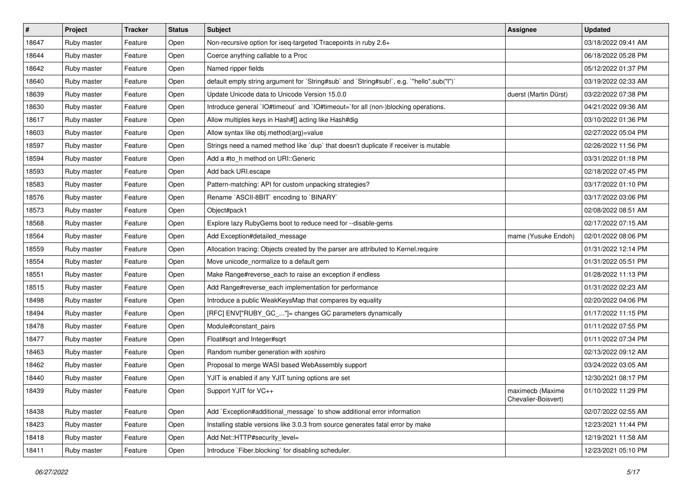| #     | Project     | <b>Tracker</b> | <b>Status</b> | <b>Subject</b>                                                                            | Assignee                                | <b>Updated</b>      |
|-------|-------------|----------------|---------------|-------------------------------------------------------------------------------------------|-----------------------------------------|---------------------|
| 18647 | Ruby master | Feature        | Open          | Non-recursive option for iseq-targeted Tracepoints in ruby 2.6+                           |                                         | 03/18/2022 09:41 AM |
| 18644 | Ruby master | Feature        | Open          | Coerce anything callable to a Proc                                                        |                                         | 06/18/2022 05:28 PM |
| 18642 | Ruby master | Feature        | Open          | Named ripper fields                                                                       |                                         | 05/12/2022 01:37 PM |
| 18640 | Ruby master | Feature        | Open          | default empty string argument for `String#sub` and `String#sub!`, e.g. `"hello".sub("I")` |                                         | 03/19/2022 02:33 AM |
| 18639 | Ruby master | Feature        | Open          | Update Unicode data to Unicode Version 15.0.0                                             | duerst (Martin Dürst)                   | 03/22/2022 07:38 PM |
| 18630 | Ruby master | Feature        | Open          | Introduce general `IO#timeout` and `IO#timeout=`for all (non-)blocking operations.        |                                         | 04/21/2022 09:36 AM |
| 18617 | Ruby master | Feature        | Open          | Allow multiples keys in Hash#[] acting like Hash#dig                                      |                                         | 03/10/2022 01:36 PM |
| 18603 | Ruby master | Feature        | Open          | Allow syntax like obj.method(arg)=value                                                   |                                         | 02/27/2022 05:04 PM |
| 18597 | Ruby master | Feature        | Open          | Strings need a named method like 'dup' that doesn't duplicate if receiver is mutable      |                                         | 02/26/2022 11:56 PM |
| 18594 | Ruby master | Feature        | Open          | Add a #to_h method on URI::Generic                                                        |                                         | 03/31/2022 01:18 PM |
| 18593 | Ruby master | Feature        | Open          | Add back URI.escape                                                                       |                                         | 02/18/2022 07:45 PM |
| 18583 | Ruby master | Feature        | Open          | Pattern-matching: API for custom unpacking strategies?                                    |                                         | 03/17/2022 01:10 PM |
| 18576 | Ruby master | Feature        | Open          | Rename `ASCII-8BIT` encoding to `BINARY`                                                  |                                         | 03/17/2022 03:06 PM |
| 18573 | Ruby master | Feature        | Open          | Object#pack1                                                                              |                                         | 02/08/2022 08:51 AM |
| 18568 | Ruby master | Feature        | Open          | Explore lazy RubyGems boot to reduce need for --disable-gems                              |                                         | 02/17/2022 07:15 AM |
| 18564 | Ruby master | Feature        | Open          | Add Exception#detailed_message                                                            | mame (Yusuke Endoh)                     | 02/01/2022 08:06 PM |
| 18559 | Ruby master | Feature        | Open          | Allocation tracing: Objects created by the parser are attributed to Kernel.require        |                                         | 01/31/2022 12:14 PM |
| 18554 | Ruby master | Feature        | Open          | Move unicode_normalize to a default gem                                                   |                                         | 01/31/2022 05:51 PM |
| 18551 | Ruby master | Feature        | Open          | Make Range#reverse_each to raise an exception if endless                                  |                                         | 01/28/2022 11:13 PM |
| 18515 | Ruby master | Feature        | Open          | Add Range#reverse_each implementation for performance                                     |                                         | 01/31/2022 02:23 AM |
| 18498 | Ruby master | Feature        | Open          | Introduce a public WeakKeysMap that compares by equality                                  |                                         | 02/20/2022 04:06 PM |
| 18494 | Ruby master | Feature        | Open          | [RFC] ENV["RUBY_GC_"]= changes GC parameters dynamically                                  |                                         | 01/17/2022 11:15 PM |
| 18478 | Ruby master | Feature        | Open          | Module#constant_pairs                                                                     |                                         | 01/11/2022 07:55 PM |
| 18477 | Ruby master | Feature        | Open          | Float#sqrt and Integer#sqrt                                                               |                                         | 01/11/2022 07:34 PM |
| 18463 | Ruby master | Feature        | Open          | Random number generation with xoshiro                                                     |                                         | 02/13/2022 09:12 AM |
| 18462 | Ruby master | Feature        | Open          | Proposal to merge WASI based WebAssembly support                                          |                                         | 03/24/2022 03:05 AM |
| 18440 | Ruby master | Feature        | Open          | YJIT is enabled if any YJIT tuning options are set                                        |                                         | 12/30/2021 08:17 PM |
| 18439 | Ruby master | Feature        | Open          | Support YJIT for VC++                                                                     | maximecb (Maxime<br>Chevalier-Boisvert) | 01/10/2022 11:29 PM |
| 18438 | Ruby master | Feature        | Open          | Add `Exception#additional_message` to show additional error information                   |                                         | 02/07/2022 02:55 AM |
| 18423 | Ruby master | Feature        | Open          | Installing stable versions like 3.0.3 from source generates fatal error by make           |                                         | 12/23/2021 11:44 PM |
| 18418 | Ruby master | Feature        | Open          | Add Net::HTTP#security_level=                                                             |                                         | 12/19/2021 11:58 AM |
| 18411 | Ruby master | Feature        | Open          | Introduce `Fiber.blocking` for disabling scheduler.                                       |                                         | 12/23/2021 05:10 PM |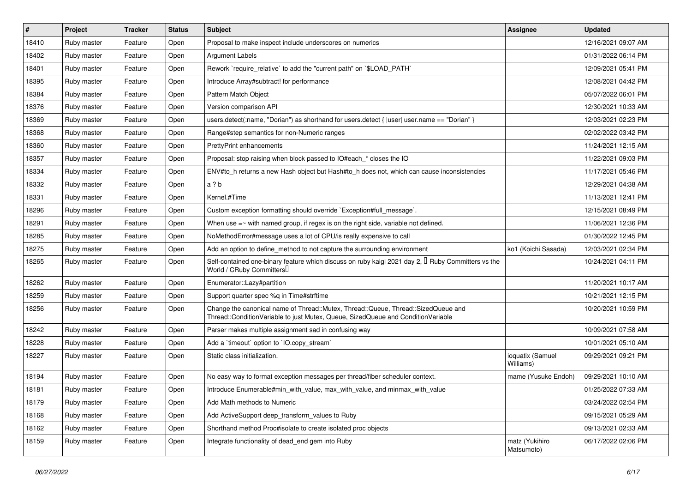| #     | Project     | <b>Tracker</b> | <b>Status</b> | <b>Subject</b>                                                                                                                                                        | Assignee                      | <b>Updated</b>      |
|-------|-------------|----------------|---------------|-----------------------------------------------------------------------------------------------------------------------------------------------------------------------|-------------------------------|---------------------|
| 18410 | Ruby master | Feature        | Open          | Proposal to make inspect include underscores on numerics                                                                                                              |                               | 12/16/2021 09:07 AM |
| 18402 | Ruby master | Feature        | Open          | Argument Labels                                                                                                                                                       |                               | 01/31/2022 06:14 PM |
| 18401 | Ruby master | Feature        | Open          | Rework `require_relative` to add the "current path" on `\$LOAD_PATH`                                                                                                  |                               | 12/09/2021 05:41 PM |
| 18395 | Ruby master | Feature        | Open          | Introduce Array#subtract! for performance                                                                                                                             |                               | 12/08/2021 04:42 PM |
| 18384 | Ruby master | Feature        | Open          | Pattern Match Object                                                                                                                                                  |                               | 05/07/2022 06:01 PM |
| 18376 | Ruby master | Feature        | Open          | Version comparison API                                                                                                                                                |                               | 12/30/2021 10:33 AM |
| 18369 | Ruby master | Feature        | Open          | users.detect(:name, "Dorian") as shorthand for users.detect {  user  user.name == "Dorian" }                                                                          |                               | 12/03/2021 02:23 PM |
| 18368 | Ruby master | Feature        | Open          | Range#step semantics for non-Numeric ranges                                                                                                                           |                               | 02/02/2022 03:42 PM |
| 18360 | Ruby master | Feature        | Open          | <b>PrettyPrint enhancements</b>                                                                                                                                       |                               | 11/24/2021 12:15 AM |
| 18357 | Ruby master | Feature        | Open          | Proposal: stop raising when block passed to IO#each_* closes the IO                                                                                                   |                               | 11/22/2021 09:03 PM |
| 18334 | Ruby master | Feature        | Open          | ENV#to_h returns a new Hash object but Hash#to_h does not, which can cause inconsistencies                                                                            |                               | 11/17/2021 05:46 PM |
| 18332 | Ruby master | Feature        | Open          | a ? b                                                                                                                                                                 |                               | 12/29/2021 04:38 AM |
| 18331 | Ruby master | Feature        | Open          | Kernel.#Time                                                                                                                                                          |                               | 11/13/2021 12:41 PM |
| 18296 | Ruby master | Feature        | Open          | Custom exception formatting should override `Exception#full_message`.                                                                                                 |                               | 12/15/2021 08:49 PM |
| 18291 | Ruby master | Feature        | Open          | When use $=\sim$ with named group, if regex is on the right side, variable not defined.                                                                               |                               | 11/06/2021 12:36 PM |
| 18285 | Ruby master | Feature        | Open          | NoMethodError#message uses a lot of CPU/is really expensive to call                                                                                                   |                               | 01/30/2022 12:45 PM |
| 18275 | Ruby master | Feature        | Open          | Add an option to define_method to not capture the surrounding environment                                                                                             | ko1 (Koichi Sasada)           | 12/03/2021 02:34 PM |
| 18265 | Ruby master | Feature        | Open          | Self-contained one-binary feature which discuss on ruby kaigi 2021 day 2, $\Box$ Ruby Committers vs the<br>World / CRuby Committers                                   |                               | 10/24/2021 04:11 PM |
| 18262 | Ruby master | Feature        | Open          | Enumerator::Lazy#partition                                                                                                                                            |                               | 11/20/2021 10:17 AM |
| 18259 | Ruby master | Feature        | Open          | Support quarter spec %q in Time#strftime                                                                                                                              |                               | 10/21/2021 12:15 PM |
| 18256 | Ruby master | Feature        | Open          | Change the canonical name of Thread::Mutex, Thread::Queue, Thread::SizedQueue and<br>Thread::ConditionVariable to just Mutex, Queue, SizedQueue and ConditionVariable |                               | 10/20/2021 10:59 PM |
| 18242 | Ruby master | Feature        | Open          | Parser makes multiple assignment sad in confusing way                                                                                                                 |                               | 10/09/2021 07:58 AM |
| 18228 | Ruby master | Feature        | Open          | Add a 'timeout' option to 'IO.copy_stream'                                                                                                                            |                               | 10/01/2021 05:10 AM |
| 18227 | Ruby master | Feature        | Open          | Static class initialization.                                                                                                                                          | ioquatix (Samuel<br>Williams) | 09/29/2021 09:21 PM |
| 18194 | Ruby master | Feature        | Open          | No easy way to format exception messages per thread/fiber scheduler context.                                                                                          | mame (Yusuke Endoh)           | 09/29/2021 10:10 AM |
| 18181 | Ruby master | Feature        | Open          | Introduce Enumerable#min_with_value, max_with_value, and minmax_with_value                                                                                            |                               | 01/25/2022 07:33 AM |
| 18179 | Ruby master | Feature        | Open          | Add Math methods to Numeric                                                                                                                                           |                               | 03/24/2022 02:54 PM |
| 18168 | Ruby master | Feature        | Open          | Add ActiveSupport deep_transform_values to Ruby                                                                                                                       |                               | 09/15/2021 05:29 AM |
| 18162 | Ruby master | Feature        | Open          | Shorthand method Proc#isolate to create isolated proc objects                                                                                                         |                               | 09/13/2021 02:33 AM |
| 18159 | Ruby master | Feature        | Open          | Integrate functionality of dead_end gem into Ruby                                                                                                                     | matz (Yukihiro<br>Matsumoto)  | 06/17/2022 02:06 PM |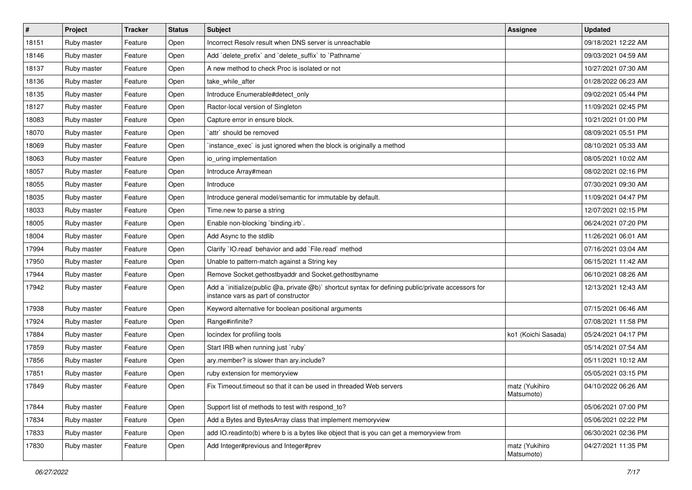| $\sharp$ | Project     | <b>Tracker</b> | <b>Status</b> | Subject                                                                                                                                     | <b>Assignee</b>              | <b>Updated</b>      |
|----------|-------------|----------------|---------------|---------------------------------------------------------------------------------------------------------------------------------------------|------------------------------|---------------------|
| 18151    | Ruby master | Feature        | Open          | Incorrect Resolv result when DNS server is unreachable                                                                                      |                              | 09/18/2021 12:22 AM |
| 18146    | Ruby master | Feature        | Open          | Add 'delete_prefix' and 'delete_suffix' to 'Pathname'                                                                                       |                              | 09/03/2021 04:59 AM |
| 18137    | Ruby master | Feature        | Open          | A new method to check Proc is isolated or not                                                                                               |                              | 10/27/2021 07:30 AM |
| 18136    | Ruby master | Feature        | Open          | take_while_after                                                                                                                            |                              | 01/28/2022 06:23 AM |
| 18135    | Ruby master | Feature        | Open          | Introduce Enumerable#detect_only                                                                                                            |                              | 09/02/2021 05:44 PM |
| 18127    | Ruby master | Feature        | Open          | Ractor-local version of Singleton                                                                                                           |                              | 11/09/2021 02:45 PM |
| 18083    | Ruby master | Feature        | Open          | Capture error in ensure block.                                                                                                              |                              | 10/21/2021 01:00 PM |
| 18070    | Ruby master | Feature        | Open          | `attr` should be removed                                                                                                                    |                              | 08/09/2021 05:51 PM |
| 18069    | Ruby master | Feature        | Open          | 'instance_exec' is just ignored when the block is originally a method                                                                       |                              | 08/10/2021 05:33 AM |
| 18063    | Ruby master | Feature        | Open          | io uring implementation                                                                                                                     |                              | 08/05/2021 10:02 AM |
| 18057    | Ruby master | Feature        | Open          | Introduce Array#mean                                                                                                                        |                              | 08/02/2021 02:16 PM |
| 18055    | Ruby master | Feature        | Open          | Introduce                                                                                                                                   |                              | 07/30/2021 09:30 AM |
| 18035    | Ruby master | Feature        | Open          | Introduce general model/semantic for immutable by default.                                                                                  |                              | 11/09/2021 04:47 PM |
| 18033    | Ruby master | Feature        | Open          | Time.new to parse a string                                                                                                                  |                              | 12/07/2021 02:15 PM |
| 18005    | Ruby master | Feature        | Open          | Enable non-blocking `binding.irb`.                                                                                                          |                              | 06/24/2021 07:20 PM |
| 18004    | Ruby master | Feature        | Open          | Add Async to the stdlib                                                                                                                     |                              | 11/26/2021 06:01 AM |
| 17994    | Ruby master | Feature        | Open          | Clarify `IO.read` behavior and add `File.read` method                                                                                       |                              | 07/16/2021 03:04 AM |
| 17950    | Ruby master | Feature        | Open          | Unable to pattern-match against a String key                                                                                                |                              | 06/15/2021 11:42 AM |
| 17944    | Ruby master | Feature        | Open          | Remove Socket.gethostbyaddr and Socket.gethostbyname                                                                                        |                              | 06/10/2021 08:26 AM |
| 17942    | Ruby master | Feature        | Open          | Add a `initialize(public @a, private @b)` shortcut syntax for defining public/private accessors for<br>instance vars as part of constructor |                              | 12/13/2021 12:43 AM |
| 17938    | Ruby master | Feature        | Open          | Keyword alternative for boolean positional arguments                                                                                        |                              | 07/15/2021 06:46 AM |
| 17924    | Ruby master | Feature        | Open          | Range#infinite?                                                                                                                             |                              | 07/08/2021 11:58 PM |
| 17884    | Ruby master | Feature        | Open          | locindex for profiling tools                                                                                                                | ko1 (Koichi Sasada)          | 05/24/2021 04:17 PM |
| 17859    | Ruby master | Feature        | Open          | Start IRB when running just `ruby`                                                                                                          |                              | 05/14/2021 07:54 AM |
| 17856    | Ruby master | Feature        | Open          | ary.member? is slower than ary.include?                                                                                                     |                              | 05/11/2021 10:12 AM |
| 17851    | Ruby master | Feature        | Open          | ruby extension for memoryview                                                                                                               |                              | 05/05/2021 03:15 PM |
| 17849    | Ruby master | Feature        | Open          | Fix Timeout.timeout so that it can be used in threaded Web servers                                                                          | matz (Yukihiro<br>Matsumoto) | 04/10/2022 06:26 AM |
| 17844    | Ruby master | Feature        | Open          | Support list of methods to test with respond to?                                                                                            |                              | 05/06/2021 07:00 PM |
| 17834    | Ruby master | Feature        | Open          | Add a Bytes and BytesArray class that implement memoryview                                                                                  |                              | 05/06/2021 02:22 PM |
| 17833    | Ruby master | Feature        | Open          | add IO.readinto(b) where b is a bytes like object that is you can get a memoryview from                                                     |                              | 06/30/2021 02:36 PM |
| 17830    | Ruby master | Feature        | Open          | Add Integer#previous and Integer#prev                                                                                                       | matz (Yukihiro<br>Matsumoto) | 04/27/2021 11:35 PM |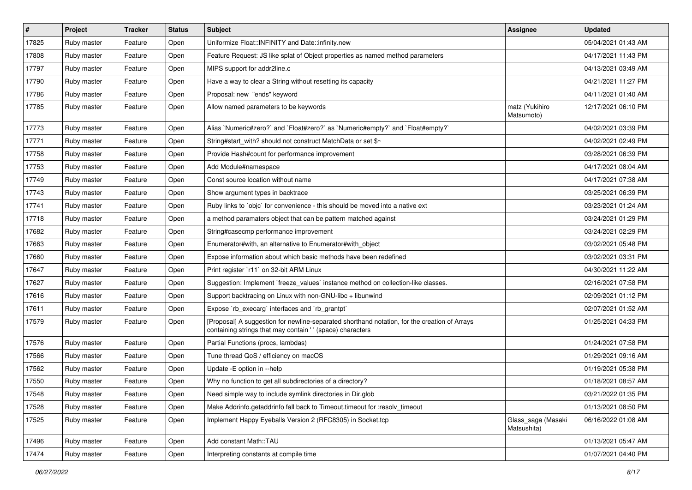| #     | Project     | <b>Tracker</b> | <b>Status</b> | Subject                                                                                                                                                   | Assignee                          | <b>Updated</b>      |
|-------|-------------|----------------|---------------|-----------------------------------------------------------------------------------------------------------------------------------------------------------|-----------------------------------|---------------------|
| 17825 | Ruby master | Feature        | Open          | Uniformize Float::INFINITY and Date::infinity.new                                                                                                         |                                   | 05/04/2021 01:43 AM |
| 17808 | Ruby master | Feature        | Open          | Feature Request: JS like splat of Object properties as named method parameters                                                                            |                                   | 04/17/2021 11:43 PM |
| 17797 | Ruby master | Feature        | Open          | MIPS support for addr2line.c                                                                                                                              |                                   | 04/13/2021 03:49 AM |
| 17790 | Ruby master | Feature        | Open          | Have a way to clear a String without resetting its capacity                                                                                               |                                   | 04/21/2021 11:27 PM |
| 17786 | Ruby master | Feature        | Open          | Proposal: new "ends" keyword                                                                                                                              |                                   | 04/11/2021 01:40 AM |
| 17785 | Ruby master | Feature        | Open          | Allow named parameters to be keywords                                                                                                                     | matz (Yukihiro<br>Matsumoto)      | 12/17/2021 06:10 PM |
| 17773 | Ruby master | Feature        | Open          | Alias `Numeric#zero?` and `Float#zero?` as `Numeric#empty?` and `Float#empty?`                                                                            |                                   | 04/02/2021 03:39 PM |
| 17771 | Ruby master | Feature        | Open          | String#start_with? should not construct MatchData or set \$~                                                                                              |                                   | 04/02/2021 02:49 PM |
| 17758 | Ruby master | Feature        | Open          | Provide Hash#count for performance improvement                                                                                                            |                                   | 03/28/2021 06:39 PM |
| 17753 | Ruby master | Feature        | Open          | Add Module#namespace                                                                                                                                      |                                   | 04/17/2021 08:04 AM |
| 17749 | Ruby master | Feature        | Open          | Const source location without name                                                                                                                        |                                   | 04/17/2021 07:38 AM |
| 17743 | Ruby master | Feature        | Open          | Show argument types in backtrace                                                                                                                          |                                   | 03/25/2021 06:39 PM |
| 17741 | Ruby master | Feature        | Open          | Ruby links to `objc` for convenience - this should be moved into a native ext                                                                             |                                   | 03/23/2021 01:24 AM |
| 17718 | Ruby master | Feature        | Open          | a method paramaters object that can be pattern matched against                                                                                            |                                   | 03/24/2021 01:29 PM |
| 17682 | Ruby master | Feature        | Open          | String#casecmp performance improvement                                                                                                                    |                                   | 03/24/2021 02:29 PM |
| 17663 | Ruby master | Feature        | Open          | Enumerator#with, an alternative to Enumerator#with object                                                                                                 |                                   | 03/02/2021 05:48 PM |
| 17660 | Ruby master | Feature        | Open          | Expose information about which basic methods have been redefined                                                                                          |                                   | 03/02/2021 03:31 PM |
| 17647 | Ruby master | Feature        | Open          | Print register `r11` on 32-bit ARM Linux                                                                                                                  |                                   | 04/30/2021 11:22 AM |
| 17627 | Ruby master | Feature        | Open          | Suggestion: Implement `freeze_values` instance method on collection-like classes.                                                                         |                                   | 02/16/2021 07:58 PM |
| 17616 | Ruby master | Feature        | Open          | Support backtracing on Linux with non-GNU-libc + libunwind                                                                                                |                                   | 02/09/2021 01:12 PM |
| 17611 | Ruby master | Feature        | Open          | Expose `rb_execarg` interfaces and `rb_grantpt`                                                                                                           |                                   | 02/07/2021 01:52 AM |
| 17579 | Ruby master | Feature        | Open          | [Proposal] A suggestion for newline-separated shorthand notation, for the creation of Arrays<br>containing strings that may contain '' (space) characters |                                   | 01/25/2021 04:33 PM |
| 17576 | Ruby master | Feature        | Open          | Partial Functions (procs, lambdas)                                                                                                                        |                                   | 01/24/2021 07:58 PM |
| 17566 | Ruby master | Feature        | Open          | Tune thread QoS / efficiency on macOS                                                                                                                     |                                   | 01/29/2021 09:16 AM |
| 17562 | Ruby master | Feature        | Open          | Update -E option in --help                                                                                                                                |                                   | 01/19/2021 05:38 PM |
| 17550 | Ruby master | Feature        | Open          | Why no function to get all subdirectories of a directory?                                                                                                 |                                   | 01/18/2021 08:57 AM |
| 17548 | Ruby master | Feature        | Open          | Need simple way to include symlink directories in Dir.glob                                                                                                |                                   | 03/21/2022 01:35 PM |
| 17528 | Ruby master | Feature        | Open          | Make Addrinfo.getaddrinfo fall back to Timeout.timeout for :resolv_timeout                                                                                |                                   | 01/13/2021 08:50 PM |
| 17525 | Ruby master | Feature        | Open          | Implement Happy Eyeballs Version 2 (RFC8305) in Socket.tcp                                                                                                | Glass_saga (Masaki<br>Matsushita) | 06/16/2022 01:08 AM |
| 17496 | Ruby master | Feature        | Open          | Add constant Math::TAU                                                                                                                                    |                                   | 01/13/2021 05:47 AM |
| 17474 | Ruby master | Feature        | Open          | Interpreting constants at compile time                                                                                                                    |                                   | 01/07/2021 04:40 PM |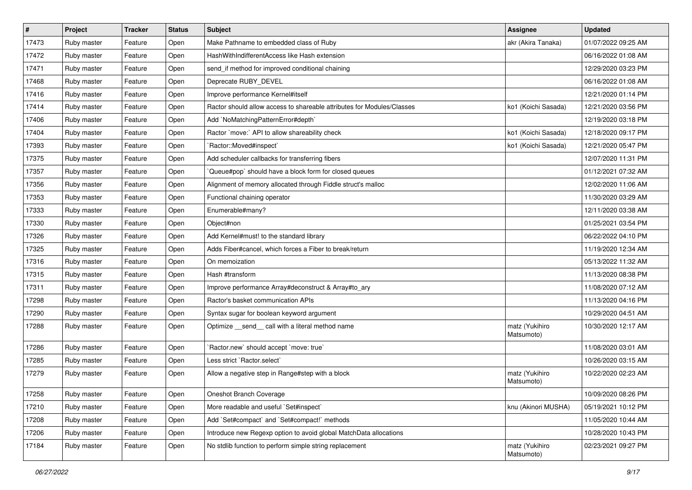| #     | Project     | <b>Tracker</b> | <b>Status</b> | Subject                                                                | Assignee                     | <b>Updated</b>      |
|-------|-------------|----------------|---------------|------------------------------------------------------------------------|------------------------------|---------------------|
| 17473 | Ruby master | Feature        | Open          | Make Pathname to embedded class of Ruby                                | akr (Akira Tanaka)           | 01/07/2022 09:25 AM |
| 17472 | Ruby master | Feature        | Open          | HashWithIndifferentAccess like Hash extension                          |                              | 06/16/2022 01:08 AM |
| 17471 | Ruby master | Feature        | Open          | send_if method for improved conditional chaining                       |                              | 12/29/2020 03:23 PM |
| 17468 | Ruby master | Feature        | Open          | Deprecate RUBY_DEVEL                                                   |                              | 06/16/2022 01:08 AM |
| 17416 | Ruby master | Feature        | Open          | Improve performance Kernel#itself                                      |                              | 12/21/2020 01:14 PM |
| 17414 | Ruby master | Feature        | Open          | Ractor should allow access to shareable attributes for Modules/Classes | ko1 (Koichi Sasada)          | 12/21/2020 03:56 PM |
| 17406 | Ruby master | Feature        | Open          | Add `NoMatchingPatternError#depth`                                     |                              | 12/19/2020 03:18 PM |
| 17404 | Ruby master | Feature        | Open          | Ractor `move:` API to allow shareability check                         | ko1 (Koichi Sasada)          | 12/18/2020 09:17 PM |
| 17393 | Ruby master | Feature        | Open          | `Ractor::Moved#inspect`                                                | ko1 (Koichi Sasada)          | 12/21/2020 05:47 PM |
| 17375 | Ruby master | Feature        | Open          | Add scheduler callbacks for transferring fibers                        |                              | 12/07/2020 11:31 PM |
| 17357 | Ruby master | Feature        | Open          | 'Queue#pop' should have a block form for closed queues                 |                              | 01/12/2021 07:32 AM |
| 17356 | Ruby master | Feature        | Open          | Alignment of memory allocated through Fiddle struct's malloc           |                              | 12/02/2020 11:06 AM |
| 17353 | Ruby master | Feature        | Open          | Functional chaining operator                                           |                              | 11/30/2020 03:29 AM |
| 17333 | Ruby master | Feature        | Open          | Enumerable#many?                                                       |                              | 12/11/2020 03:38 AM |
| 17330 | Ruby master | Feature        | Open          | Object#non                                                             |                              | 01/25/2021 03:54 PM |
| 17326 | Ruby master | Feature        | Open          | Add Kernel#must! to the standard library                               |                              | 06/22/2022 04:10 PM |
| 17325 | Ruby master | Feature        | Open          | Adds Fiber#cancel, which forces a Fiber to break/return                |                              | 11/19/2020 12:34 AM |
| 17316 | Ruby master | Feature        | Open          | On memoization                                                         |                              | 05/13/2022 11:32 AM |
| 17315 | Ruby master | Feature        | Open          | Hash #transform                                                        |                              | 11/13/2020 08:38 PM |
| 17311 | Ruby master | Feature        | Open          | Improve performance Array#deconstruct & Array#to_ary                   |                              | 11/08/2020 07:12 AM |
| 17298 | Ruby master | Feature        | Open          | Ractor's basket communication APIs                                     |                              | 11/13/2020 04:16 PM |
| 17290 | Ruby master | Feature        | Open          | Syntax sugar for boolean keyword argument                              |                              | 10/29/2020 04:51 AM |
| 17288 | Ruby master | Feature        | Open          | Optimize _send_ call with a literal method name                        | matz (Yukihiro<br>Matsumoto) | 10/30/2020 12:17 AM |
| 17286 | Ruby master | Feature        | Open          | `Ractor.new` should accept `move: true`                                |                              | 11/08/2020 03:01 AM |
| 17285 | Ruby master | Feature        | Open          | Less strict `Ractor.select`                                            |                              | 10/26/2020 03:15 AM |
| 17279 | Ruby master | Feature        | Open          | Allow a negative step in Range#step with a block                       | matz (Yukihiro<br>Matsumoto) | 10/22/2020 02:23 AM |
| 17258 | Ruby master | Feature        | Open          | Oneshot Branch Coverage                                                |                              | 10/09/2020 08:26 PM |
| 17210 | Ruby master | Feature        | Open          | More readable and useful `Set#inspect`                                 | knu (Akinori MUSHA)          | 05/19/2021 10:12 PM |
| 17208 | Ruby master | Feature        | Open          | Add `Set#compact` and `Set#compact!` methods                           |                              | 11/05/2020 10:44 AM |
| 17206 | Ruby master | Feature        | Open          | Introduce new Regexp option to avoid global MatchData allocations      |                              | 10/28/2020 10:43 PM |
| 17184 | Ruby master | Feature        | Open          | No stdlib function to perform simple string replacement                | matz (Yukihiro<br>Matsumoto) | 02/23/2021 09:27 PM |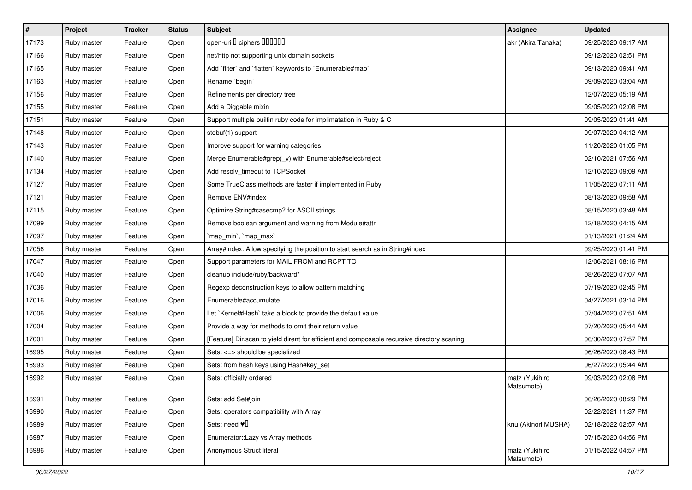| #     | Project     | <b>Tracker</b> | <b>Status</b> | Subject                                                                                     | <b>Assignee</b>              | <b>Updated</b>      |
|-------|-------------|----------------|---------------|---------------------------------------------------------------------------------------------|------------------------------|---------------------|
| 17173 | Ruby master | Feature        | Open          | open-uri I ciphers IIIIIII                                                                  | akr (Akira Tanaka)           | 09/25/2020 09:17 AM |
| 17166 | Ruby master | Feature        | Open          | net/http not supporting unix domain sockets                                                 |                              | 09/12/2020 02:51 PM |
| 17165 | Ruby master | Feature        | Open          | Add 'filter' and 'flatten' keywords to 'Enumerable#map'                                     |                              | 09/13/2020 09:41 AM |
| 17163 | Ruby master | Feature        | Open          | Rename `begin`                                                                              |                              | 09/09/2020 03:04 AM |
| 17156 | Ruby master | Feature        | Open          | Refinements per directory tree                                                              |                              | 12/07/2020 05:19 AM |
| 17155 | Ruby master | Feature        | Open          | Add a Diggable mixin                                                                        |                              | 09/05/2020 02:08 PM |
| 17151 | Ruby master | Feature        | Open          | Support multiple builtin ruby code for implimatation in Ruby & C                            |                              | 09/05/2020 01:41 AM |
| 17148 | Ruby master | Feature        | Open          | stdbuf(1) support                                                                           |                              | 09/07/2020 04:12 AM |
| 17143 | Ruby master | Feature        | Open          | Improve support for warning categories                                                      |                              | 11/20/2020 01:05 PM |
| 17140 | Ruby master | Feature        | Open          | Merge Enumerable#grep(_v) with Enumerable#select/reject                                     |                              | 02/10/2021 07:56 AM |
| 17134 | Ruby master | Feature        | Open          | Add resolv_timeout to TCPSocket                                                             |                              | 12/10/2020 09:09 AM |
| 17127 | Ruby master | Feature        | Open          | Some TrueClass methods are faster if implemented in Ruby                                    |                              | 11/05/2020 07:11 AM |
| 17121 | Ruby master | Feature        | Open          | Remove ENV#index                                                                            |                              | 08/13/2020 09:58 AM |
| 17115 | Ruby master | Feature        | Open          | Optimize String#casecmp? for ASCII strings                                                  |                              | 08/15/2020 03:48 AM |
| 17099 | Ruby master | Feature        | Open          | Remove boolean argument and warning from Module#attr                                        |                              | 12/18/2020 04:15 AM |
| 17097 | Ruby master | Feature        | Open          | `map_min`, `map_max`                                                                        |                              | 01/13/2021 01:24 AM |
| 17056 | Ruby master | Feature        | Open          | Array#index: Allow specifying the position to start search as in String#index               |                              | 09/25/2020 01:41 PM |
| 17047 | Ruby master | Feature        | Open          | Support parameters for MAIL FROM and RCPT TO                                                |                              | 12/06/2021 08:16 PM |
| 17040 | Ruby master | Feature        | Open          | cleanup include/ruby/backward*                                                              |                              | 08/26/2020 07:07 AM |
| 17036 | Ruby master | Feature        | Open          | Regexp deconstruction keys to allow pattern matching                                        |                              | 07/19/2020 02:45 PM |
| 17016 | Ruby master | Feature        | Open          | Enumerable#accumulate                                                                       |                              | 04/27/2021 03:14 PM |
| 17006 | Ruby master | Feature        | Open          | Let `Kernel#Hash` take a block to provide the default value                                 |                              | 07/04/2020 07:51 AM |
| 17004 | Ruby master | Feature        | Open          | Provide a way for methods to omit their return value                                        |                              | 07/20/2020 05:44 AM |
| 17001 | Ruby master | Feature        | Open          | [Feature] Dir.scan to yield dirent for efficient and composable recursive directory scaning |                              | 06/30/2020 07:57 PM |
| 16995 | Ruby master | Feature        | Open          | Sets: <=> should be specialized                                                             |                              | 06/26/2020 08:43 PM |
| 16993 | Ruby master | Feature        | Open          | Sets: from hash keys using Hash#key_set                                                     |                              | 06/27/2020 05:44 AM |
| 16992 | Ruby master | Feature        | Open          | Sets: officially ordered                                                                    | matz (Yukihiro<br>Matsumoto) | 09/03/2020 02:08 PM |
| 16991 | Ruby master | Feature        | Open          | Sets: add Set#join                                                                          |                              | 06/26/2020 08:29 PM |
| 16990 | Ruby master | Feature        | Open          | Sets: operators compatibility with Array                                                    |                              | 02/22/2021 11:37 PM |
| 16989 | Ruby master | Feature        | Open          | Sets: need $\Psi$ <sup>[]</sup>                                                             | knu (Akinori MUSHA)          | 02/18/2022 02:57 AM |
| 16987 | Ruby master | Feature        | Open          | Enumerator::Lazy vs Array methods                                                           |                              | 07/15/2020 04:56 PM |
| 16986 | Ruby master | Feature        | Open          | Anonymous Struct literal                                                                    | matz (Yukihiro<br>Matsumoto) | 01/15/2022 04:57 PM |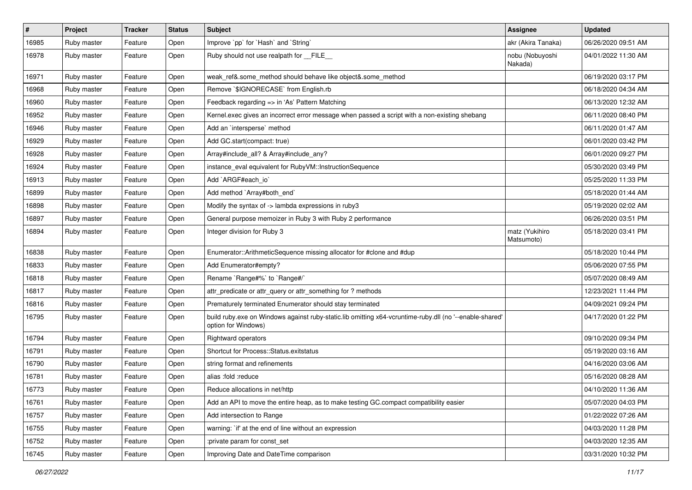| $\vert$ # | Project     | <b>Tracker</b> | <b>Status</b> | Subject                                                                                                                        | <b>Assignee</b>              | <b>Updated</b>      |
|-----------|-------------|----------------|---------------|--------------------------------------------------------------------------------------------------------------------------------|------------------------------|---------------------|
| 16985     | Ruby master | Feature        | Open          | Improve `pp` for `Hash` and `String`                                                                                           | akr (Akira Tanaka)           | 06/26/2020 09:51 AM |
| 16978     | Ruby master | Feature        | Open          | Ruby should not use realpath for FILE                                                                                          | nobu (Nobuyoshi<br>Nakada)   | 04/01/2022 11:30 AM |
| 16971     | Ruby master | Feature        | Open          | weak ref&.some method should behave like object&.some method                                                                   |                              | 06/19/2020 03:17 PM |
| 16968     | Ruby master | Feature        | Open          | Remove `\$IGNORECASE` from English.rb                                                                                          |                              | 06/18/2020 04:34 AM |
| 16960     | Ruby master | Feature        | Open          | Feedback regarding => in 'As' Pattern Matching                                                                                 |                              | 06/13/2020 12:32 AM |
| 16952     | Ruby master | Feature        | Open          | Kernel.exec gives an incorrect error message when passed a script with a non-existing shebang                                  |                              | 06/11/2020 08:40 PM |
| 16946     | Ruby master | Feature        | Open          | Add an `intersperse` method                                                                                                    |                              | 06/11/2020 01:47 AM |
| 16929     | Ruby master | Feature        | Open          | Add GC.start(compact: true)                                                                                                    |                              | 06/01/2020 03:42 PM |
| 16928     | Ruby master | Feature        | Open          | Array#include_all? & Array#include_any?                                                                                        |                              | 06/01/2020 09:27 PM |
| 16924     | Ruby master | Feature        | Open          | instance_eval equivalent for RubyVM::InstructionSequence                                                                       |                              | 05/30/2020 03:49 PM |
| 16913     | Ruby master | Feature        | Open          | Add `ARGF#each_io`                                                                                                             |                              | 05/25/2020 11:33 PM |
| 16899     | Ruby master | Feature        | Open          | Add method `Array#both_end`                                                                                                    |                              | 05/18/2020 01:44 AM |
| 16898     | Ruby master | Feature        | Open          | Modify the syntax of -> lambda expressions in ruby3                                                                            |                              | 05/19/2020 02:02 AM |
| 16897     | Ruby master | Feature        | Open          | General purpose memoizer in Ruby 3 with Ruby 2 performance                                                                     |                              | 06/26/2020 03:51 PM |
| 16894     | Ruby master | Feature        | Open          | Integer division for Ruby 3                                                                                                    | matz (Yukihiro<br>Matsumoto) | 05/18/2020 03:41 PM |
| 16838     | Ruby master | Feature        | Open          | Enumerator::ArithmeticSequence missing allocator for #clone and #dup                                                           |                              | 05/18/2020 10:44 PM |
| 16833     | Ruby master | Feature        | Open          | Add Enumerator#empty?                                                                                                          |                              | 05/06/2020 07:55 PM |
| 16818     | Ruby master | Feature        | Open          | Rename `Range#%` to `Range#/`                                                                                                  |                              | 05/07/2020 08:49 AM |
| 16817     | Ruby master | Feature        | Open          | attr_predicate or attr_query or attr_something for ? methods                                                                   |                              | 12/23/2021 11:44 PM |
| 16816     | Ruby master | Feature        | Open          | Prematurely terminated Enumerator should stay terminated                                                                       |                              | 04/09/2021 09:24 PM |
| 16795     | Ruby master | Feature        | Open          | build ruby.exe on Windows against ruby-static.lib omitting x64-vcruntime-ruby.dll (no '--enable-shared'<br>option for Windows) |                              | 04/17/2020 01:22 PM |
| 16794     | Ruby master | Feature        | Open          | <b>Rightward operators</b>                                                                                                     |                              | 09/10/2020 09:34 PM |
| 16791     | Ruby master | Feature        | Open          | Shortcut for Process::Status.exitstatus                                                                                        |                              | 05/19/2020 03:16 AM |
| 16790     | Ruby master | Feature        | Open          | string format and refinements                                                                                                  |                              | 04/16/2020 03:06 AM |
| 16781     | Ruby master | Feature        | Open          | alias :fold :reduce                                                                                                            |                              | 05/16/2020 08:28 AM |
| 16773     | Ruby master | Feature        | Open          | Reduce allocations in net/http                                                                                                 |                              | 04/10/2020 11:36 AM |
| 16761     | Ruby master | Feature        | Open          | Add an API to move the entire heap, as to make testing GC.compact compatibility easier                                         |                              | 05/07/2020 04:03 PM |
| 16757     | Ruby master | Feature        | Open          | Add intersection to Range                                                                                                      |                              | 01/22/2022 07:26 AM |
| 16755     | Ruby master | Feature        | Open          | warning: `if' at the end of line without an expression                                                                         |                              | 04/03/2020 11:28 PM |
| 16752     | Ruby master | Feature        | Open          | :private param for const_set                                                                                                   |                              | 04/03/2020 12:35 AM |
| 16745     | Ruby master | Feature        | Open          | Improving Date and DateTime comparison                                                                                         |                              | 03/31/2020 10:32 PM |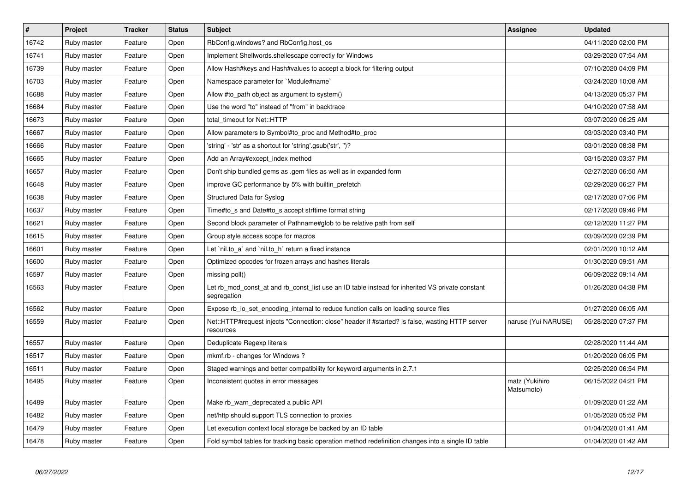| $\vert$ # | Project     | <b>Tracker</b> | <b>Status</b> | <b>Subject</b>                                                                                                 | Assignee                     | <b>Updated</b>      |
|-----------|-------------|----------------|---------------|----------------------------------------------------------------------------------------------------------------|------------------------------|---------------------|
| 16742     | Ruby master | Feature        | Open          | RbConfig.windows? and RbConfig.host os                                                                         |                              | 04/11/2020 02:00 PM |
| 16741     | Ruby master | Feature        | Open          | Implement Shellwords.shellescape correctly for Windows                                                         |                              | 03/29/2020 07:54 AM |
| 16739     | Ruby master | Feature        | Open          | Allow Hash#keys and Hash#values to accept a block for filtering output                                         |                              | 07/10/2020 04:09 PM |
| 16703     | Ruby master | Feature        | Open          | Namespace parameter for `Module#name`                                                                          |                              | 03/24/2020 10:08 AM |
| 16688     | Ruby master | Feature        | Open          | Allow #to_path object as argument to system()                                                                  |                              | 04/13/2020 05:37 PM |
| 16684     | Ruby master | Feature        | Open          | Use the word "to" instead of "from" in backtrace                                                               |                              | 04/10/2020 07:58 AM |
| 16673     | Ruby master | Feature        | Open          | total timeout for Net::HTTP                                                                                    |                              | 03/07/2020 06:25 AM |
| 16667     | Ruby master | Feature        | Open          | Allow parameters to Symbol#to_proc and Method#to_proc                                                          |                              | 03/03/2020 03:40 PM |
| 16666     | Ruby master | Feature        | Open          | 'string' - 'str' as a shortcut for 'string'.gsub('str', ")?                                                    |                              | 03/01/2020 08:38 PM |
| 16665     | Ruby master | Feature        | Open          | Add an Array#except index method                                                                               |                              | 03/15/2020 03:37 PM |
| 16657     | Ruby master | Feature        | Open          | Don't ship bundled gems as .gem files as well as in expanded form                                              |                              | 02/27/2020 06:50 AM |
| 16648     | Ruby master | Feature        | Open          | improve GC performance by 5% with builtin_prefetch                                                             |                              | 02/29/2020 06:27 PM |
| 16638     | Ruby master | Feature        | Open          | Structured Data for Syslog                                                                                     |                              | 02/17/2020 07:06 PM |
| 16637     | Ruby master | Feature        | Open          | Time#to_s and Date#to_s accept strftime format string                                                          |                              | 02/17/2020 09:46 PM |
| 16621     | Ruby master | Feature        | Open          | Second block parameter of Pathname#glob to be relative path from self                                          |                              | 02/12/2020 11:27 PM |
| 16615     | Ruby master | Feature        | Open          | Group style access scope for macros                                                                            |                              | 03/09/2020 02:39 PM |
| 16601     | Ruby master | Feature        | Open          | Let `nil.to a` and `nil.to h` return a fixed instance                                                          |                              | 02/01/2020 10:12 AM |
| 16600     | Ruby master | Feature        | Open          | Optimized opcodes for frozen arrays and hashes literals                                                        |                              | 01/30/2020 09:51 AM |
| 16597     | Ruby master | Feature        | Open          | missing poll()                                                                                                 |                              | 06/09/2022 09:14 AM |
| 16563     | Ruby master | Feature        | Open          | Let rb_mod_const_at and rb_const_list use an ID table instead for inherited VS private constant<br>segregation |                              | 01/26/2020 04:38 PM |
| 16562     | Ruby master | Feature        | Open          | Expose rb_io_set_encoding_internal to reduce function calls on loading source files                            |                              | 01/27/2020 06:05 AM |
| 16559     | Ruby master | Feature        | Open          | Net::HTTP#request injects "Connection: close" header if #started? is false, wasting HTTP server<br>resources   | naruse (Yui NARUSE)          | 05/28/2020 07:37 PM |
| 16557     | Ruby master | Feature        | Open          | Deduplicate Regexp literals                                                                                    |                              | 02/28/2020 11:44 AM |
| 16517     | Ruby master | Feature        | Open          | mkmf.rb - changes for Windows?                                                                                 |                              | 01/20/2020 06:05 PM |
| 16511     | Ruby master | Feature        | Open          | Staged warnings and better compatibility for keyword arguments in 2.7.1                                        |                              | 02/25/2020 06:54 PM |
| 16495     | Ruby master | Feature        | Open          | Inconsistent quotes in error messages                                                                          | matz (Yukihiro<br>Matsumoto) | 06/15/2022 04:21 PM |
| 16489     | Ruby master | Feature        | Open          | Make rb_warn_deprecated a public API                                                                           |                              | 01/09/2020 01:22 AM |
| 16482     | Ruby master | Feature        | Open          | net/http should support TLS connection to proxies                                                              |                              | 01/05/2020 05:52 PM |
| 16479     | Ruby master | Feature        | Open          | Let execution context local storage be backed by an ID table                                                   |                              | 01/04/2020 01:41 AM |
| 16478     | Ruby master | Feature        | Open          | Fold symbol tables for tracking basic operation method redefinition changes into a single ID table             |                              | 01/04/2020 01:42 AM |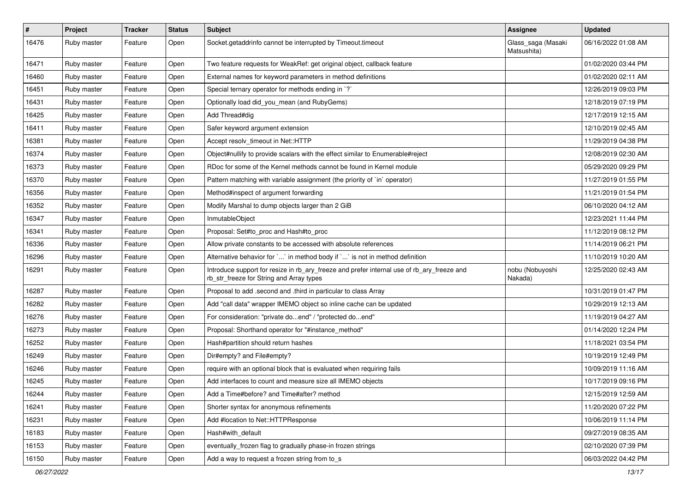| $\sharp$ | Project     | <b>Tracker</b> | <b>Status</b> | <b>Subject</b>                                                                                                                         | Assignee                          | <b>Updated</b>      |
|----------|-------------|----------------|---------------|----------------------------------------------------------------------------------------------------------------------------------------|-----------------------------------|---------------------|
| 16476    | Ruby master | Feature        | Open          | Socket.getaddrinfo cannot be interrupted by Timeout.timeout                                                                            | Glass_saga (Masaki<br>Matsushita) | 06/16/2022 01:08 AM |
| 16471    | Ruby master | Feature        | Open          | Two feature requests for WeakRef: get original object, callback feature                                                                |                                   | 01/02/2020 03:44 PM |
| 16460    | Ruby master | Feature        | Open          | External names for keyword parameters in method definitions                                                                            |                                   | 01/02/2020 02:11 AM |
| 16451    | Ruby master | Feature        | Open          | Special ternary operator for methods ending in `?`                                                                                     |                                   | 12/26/2019 09:03 PM |
| 16431    | Ruby master | Feature        | Open          | Optionally load did you mean (and RubyGems)                                                                                            |                                   | 12/18/2019 07:19 PM |
| 16425    | Ruby master | Feature        | Open          | Add Thread#dig                                                                                                                         |                                   | 12/17/2019 12:15 AM |
| 16411    | Ruby master | Feature        | Open          | Safer keyword argument extension                                                                                                       |                                   | 12/10/2019 02:45 AM |
| 16381    | Ruby master | Feature        | Open          | Accept resolv_timeout in Net::HTTP                                                                                                     |                                   | 11/29/2019 04:38 PM |
| 16374    | Ruby master | Feature        | Open          | Object#nullify to provide scalars with the effect similar to Enumerable#reject                                                         |                                   | 12/08/2019 02:30 AM |
| 16373    | Ruby master | Feature        | Open          | RDoc for some of the Kernel methods cannot be found in Kernel module                                                                   |                                   | 05/29/2020 09:29 PM |
| 16370    | Ruby master | Feature        | Open          | Pattern matching with variable assignment (the priority of `in` operator)                                                              |                                   | 11/27/2019 01:55 PM |
| 16356    | Ruby master | Feature        | Open          | Method#inspect of argument forwarding                                                                                                  |                                   | 11/21/2019 01:54 PM |
| 16352    | Ruby master | Feature        | Open          | Modify Marshal to dump objects larger than 2 GiB                                                                                       |                                   | 06/10/2020 04:12 AM |
| 16347    | Ruby master | Feature        | Open          | InmutableObject                                                                                                                        |                                   | 12/23/2021 11:44 PM |
| 16341    | Ruby master | Feature        | Open          | Proposal: Set#to_proc and Hash#to_proc                                                                                                 |                                   | 11/12/2019 08:12 PM |
| 16336    | Ruby master | Feature        | Open          | Allow private constants to be accessed with absolute references                                                                        |                                   | 11/14/2019 06:21 PM |
| 16296    | Ruby master | Feature        | Open          | Alternative behavior for `' in method body if `' is not in method definition                                                           |                                   | 11/10/2019 10:20 AM |
| 16291    | Ruby master | Feature        | Open          | Introduce support for resize in rb_ary_freeze and prefer internal use of rb_ary_freeze and<br>rb_str_freeze for String and Array types | nobu (Nobuyoshi<br>Nakada)        | 12/25/2020 02:43 AM |
| 16287    | Ruby master | Feature        | Open          | Proposal to add .second and .third in particular to class Array                                                                        |                                   | 10/31/2019 01:47 PM |
| 16282    | Ruby master | Feature        | Open          | Add "call data" wrapper IMEMO object so inline cache can be updated                                                                    |                                   | 10/29/2019 12:13 AM |
| 16276    | Ruby master | Feature        | Open          | For consideration: "private doend" / "protected doend"                                                                                 |                                   | 11/19/2019 04:27 AM |
| 16273    | Ruby master | Feature        | Open          | Proposal: Shorthand operator for "#instance method"                                                                                    |                                   | 01/14/2020 12:24 PM |
| 16252    | Ruby master | Feature        | Open          | Hash#partition should return hashes                                                                                                    |                                   | 11/18/2021 03:54 PM |
| 16249    | Ruby master | Feature        | Open          | Dir#empty? and File#empty?                                                                                                             |                                   | 10/19/2019 12:49 PM |
| 16246    | Ruby master | Feature        | Open          | require with an optional block that is evaluated when requiring fails                                                                  |                                   | 10/09/2019 11:16 AM |
| 16245    | Ruby master | Feature        | Open          | Add interfaces to count and measure size all IMEMO objects                                                                             |                                   | 10/17/2019 09:16 PM |
| 16244    | Ruby master | Feature        | Open          | Add a Time#before? and Time#after? method                                                                                              |                                   | 12/15/2019 12:59 AM |
| 16241    | Ruby master | Feature        | Open          | Shorter syntax for anonymous refinements                                                                                               |                                   | 11/20/2020 07:22 PM |
| 16231    | Ruby master | Feature        | Open          | Add #location to Net::HTTPResponse                                                                                                     |                                   | 10/06/2019 11:14 PM |
| 16183    | Ruby master | Feature        | Open          | Hash#with_default                                                                                                                      |                                   | 09/27/2019 08:35 AM |
| 16153    | Ruby master | Feature        | Open          | eventually_frozen flag to gradually phase-in frozen strings                                                                            |                                   | 02/10/2020 07:39 PM |
| 16150    | Ruby master | Feature        | Open          | Add a way to request a frozen string from to_s                                                                                         |                                   | 06/03/2022 04:42 PM |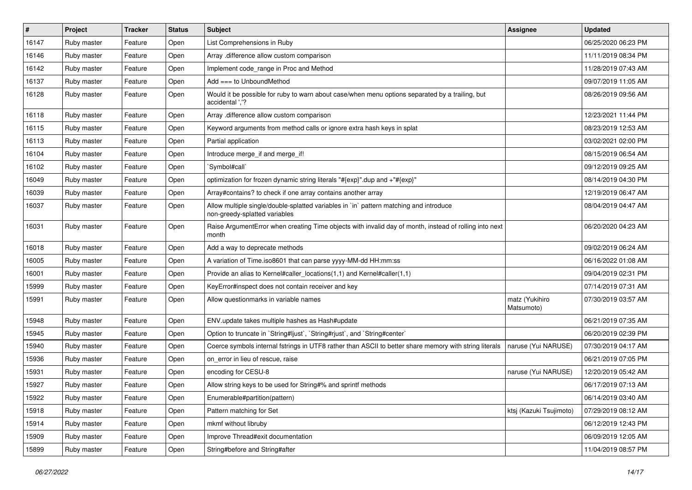| #     | Project     | <b>Tracker</b> | <b>Status</b> | Subject                                                                                                                 | Assignee                     | <b>Updated</b>      |
|-------|-------------|----------------|---------------|-------------------------------------------------------------------------------------------------------------------------|------------------------------|---------------------|
| 16147 | Ruby master | Feature        | Open          | List Comprehensions in Ruby                                                                                             |                              | 06/25/2020 06:23 PM |
| 16146 | Ruby master | Feature        | Open          | Array .difference allow custom comparison                                                                               |                              | 11/11/2019 08:34 PM |
| 16142 | Ruby master | Feature        | Open          | Implement code range in Proc and Method                                                                                 |                              | 11/28/2019 07:43 AM |
| 16137 | Ruby master | Feature        | Open          | Add $==$ to UnboundMethod                                                                                               |                              | 09/07/2019 11:05 AM |
| 16128 | Ruby master | Feature        | Open          | Would it be possible for ruby to warn about case/when menu options separated by a trailing, but<br>accidental ','?      |                              | 08/26/2019 09:56 AM |
| 16118 | Ruby master | Feature        | Open          | Array .difference allow custom comparison                                                                               |                              | 12/23/2021 11:44 PM |
| 16115 | Ruby master | Feature        | Open          | Keyword arguments from method calls or ignore extra hash keys in splat                                                  |                              | 08/23/2019 12:53 AM |
| 16113 | Ruby master | Feature        | Open          | Partial application                                                                                                     |                              | 03/02/2021 02:00 PM |
| 16104 | Ruby master | Feature        | Open          | Introduce merge_if and merge_if!                                                                                        |                              | 08/15/2019 06:54 AM |
| 16102 | Ruby master | Feature        | Open          | `Symbol#call`                                                                                                           |                              | 09/12/2019 09:25 AM |
| 16049 | Ruby master | Feature        | Open          | optimization for frozen dynamic string literals "#{exp}".dup and +"#{exp}"                                              |                              | 08/14/2019 04:30 PM |
| 16039 | Ruby master | Feature        | Open          | Array#contains? to check if one array contains another array                                                            |                              | 12/19/2019 06:47 AM |
| 16037 | Ruby master | Feature        | Open          | Allow multiple single/double-splatted variables in `in` pattern matching and introduce<br>non-greedy-splatted variables |                              | 08/04/2019 04:47 AM |
| 16031 | Ruby master | Feature        | Open          | Raise ArgumentError when creating Time objects with invalid day of month, instead of rolling into next<br>month         |                              | 06/20/2020 04:23 AM |
| 16018 | Ruby master | Feature        | Open          | Add a way to deprecate methods                                                                                          |                              | 09/02/2019 06:24 AM |
| 16005 | Ruby master | Feature        | Open          | A variation of Time.iso8601 that can parse yyyy-MM-dd HH:mm:ss                                                          |                              | 06/16/2022 01:08 AM |
| 16001 | Ruby master | Feature        | Open          | Provide an alias to Kernel#caller_locations(1,1) and Kernel#caller(1,1)                                                 |                              | 09/04/2019 02:31 PM |
| 15999 | Ruby master | Feature        | Open          | KeyError#inspect does not contain receiver and key                                                                      |                              | 07/14/2019 07:31 AM |
| 15991 | Ruby master | Feature        | Open          | Allow questionmarks in variable names                                                                                   | matz (Yukihiro<br>Matsumoto) | 07/30/2019 03:57 AM |
| 15948 | Ruby master | Feature        | Open          | ENV.update takes multiple hashes as Hash#update                                                                         |                              | 06/21/2019 07:35 AM |
| 15945 | Ruby master | Feature        | Open          | Option to truncate in `String#ljust`, `String#rjust`, and `String#center`                                               |                              | 06/20/2019 02:39 PM |
| 15940 | Ruby master | Feature        | Open          | Coerce symbols internal fstrings in UTF8 rather than ASCII to better share memory with string literals                  | naruse (Yui NARUSE)          | 07/30/2019 04:17 AM |
| 15936 | Ruby master | Feature        | Open          | on error in lieu of rescue, raise                                                                                       |                              | 06/21/2019 07:05 PM |
| 15931 | Ruby master | Feature        | Open          | encoding for CESU-8                                                                                                     | naruse (Yui NARUSE)          | 12/20/2019 05:42 AM |
| 15927 | Ruby master | Feature        | Open          | Allow string keys to be used for String#% and sprintf methods                                                           |                              | 06/17/2019 07:13 AM |
| 15922 | Ruby master | Feature        | Open          | Enumerable#partition(pattern)                                                                                           |                              | 06/14/2019 03:40 AM |
| 15918 | Ruby master | Feature        | Open          | Pattern matching for Set                                                                                                | ktsj (Kazuki Tsujimoto)      | 07/29/2019 08:12 AM |
| 15914 | Ruby master | Feature        | Open          | mkmf without libruby                                                                                                    |                              | 06/12/2019 12:43 PM |
| 15909 | Ruby master | Feature        | Open          | Improve Thread#exit documentation                                                                                       |                              | 06/09/2019 12:05 AM |
| 15899 | Ruby master | Feature        | Open          | String#before and String#after                                                                                          |                              | 11/04/2019 08:57 PM |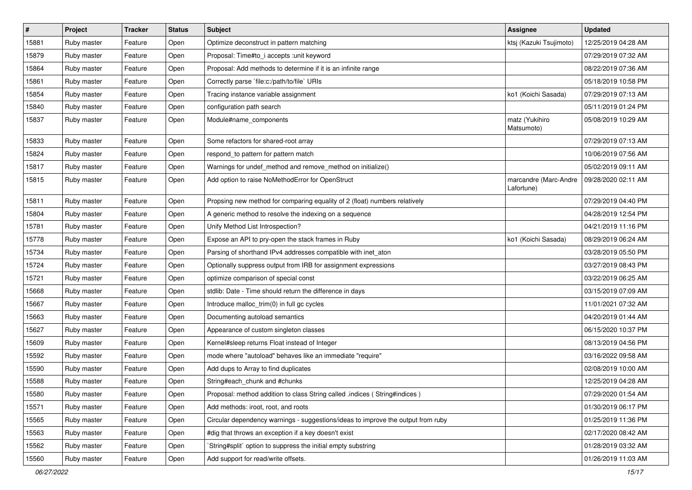| $\vert$ # | Project     | <b>Tracker</b> | <b>Status</b> | <b>Subject</b>                                                                   | Assignee                            | <b>Updated</b>      |
|-----------|-------------|----------------|---------------|----------------------------------------------------------------------------------|-------------------------------------|---------------------|
| 15881     | Ruby master | Feature        | Open          | Optimize deconstruct in pattern matching                                         | ktsj (Kazuki Tsujimoto)             | 12/25/2019 04:28 AM |
| 15879     | Ruby master | Feature        | Open          | Proposal: Time#to_i accepts :unit keyword                                        |                                     | 07/29/2019 07:32 AM |
| 15864     | Ruby master | Feature        | Open          | Proposal: Add methods to determine if it is an infinite range                    |                                     | 08/22/2019 07:36 AM |
| 15861     | Ruby master | Feature        | Open          | Correctly parse `file:c:/path/to/file` URIs                                      |                                     | 05/18/2019 10:58 PM |
| 15854     | Ruby master | Feature        | Open          | Tracing instance variable assignment                                             | ko1 (Koichi Sasada)                 | 07/29/2019 07:13 AM |
| 15840     | Ruby master | Feature        | Open          | configuration path search                                                        |                                     | 05/11/2019 01:24 PM |
| 15837     | Ruby master | Feature        | Open          | Module#name_components                                                           | matz (Yukihiro<br>Matsumoto)        | 05/08/2019 10:29 AM |
| 15833     | Ruby master | Feature        | Open          | Some refactors for shared-root array                                             |                                     | 07/29/2019 07:13 AM |
| 15824     | Ruby master | Feature        | Open          | respond to pattern for pattern match                                             |                                     | 10/06/2019 07:56 AM |
| 15817     | Ruby master | Feature        | Open          | Warnings for undef_method and remove_method on initialize()                      |                                     | 05/02/2019 09:11 AM |
| 15815     | Ruby master | Feature        | Open          | Add option to raise NoMethodError for OpenStruct                                 | marcandre (Marc-Andre<br>Lafortune) | 09/28/2020 02:11 AM |
| 15811     | Ruby master | Feature        | Open          | Propsing new method for comparing equality of 2 (float) numbers relatively       |                                     | 07/29/2019 04:40 PM |
| 15804     | Ruby master | Feature        | Open          | A generic method to resolve the indexing on a sequence                           |                                     | 04/28/2019 12:54 PM |
| 15781     | Ruby master | Feature        | Open          | Unify Method List Introspection?                                                 |                                     | 04/21/2019 11:16 PM |
| 15778     | Ruby master | Feature        | Open          | Expose an API to pry-open the stack frames in Ruby                               | ko1 (Koichi Sasada)                 | 08/29/2019 06:24 AM |
| 15734     | Ruby master | Feature        | Open          | Parsing of shorthand IPv4 addresses compatible with inet_aton                    |                                     | 03/28/2019 05:50 PM |
| 15724     | Ruby master | Feature        | Open          | Optionally suppress output from IRB for assignment expressions                   |                                     | 03/27/2019 08:43 PM |
| 15721     | Ruby master | Feature        | Open          | optimize comparison of special const                                             |                                     | 03/22/2019 06:25 AM |
| 15668     | Ruby master | Feature        | Open          | stdlib: Date - Time should return the difference in days                         |                                     | 03/15/2019 07:09 AM |
| 15667     | Ruby master | Feature        | Open          | Introduce malloc_trim(0) in full gc cycles                                       |                                     | 11/01/2021 07:32 AM |
| 15663     | Ruby master | Feature        | Open          | Documenting autoload semantics                                                   |                                     | 04/20/2019 01:44 AM |
| 15627     | Ruby master | Feature        | Open          | Appearance of custom singleton classes                                           |                                     | 06/15/2020 10:37 PM |
| 15609     | Ruby master | Feature        | Open          | Kernel#sleep returns Float instead of Integer                                    |                                     | 08/13/2019 04:56 PM |
| 15592     | Ruby master | Feature        | Open          | mode where "autoload" behaves like an immediate "require"                        |                                     | 03/16/2022 09:58 AM |
| 15590     | Ruby master | Feature        | Open          | Add dups to Array to find duplicates                                             |                                     | 02/08/2019 10:00 AM |
| 15588     | Ruby master | Feature        | Open          | String#each chunk and #chunks                                                    |                                     | 12/25/2019 04:28 AM |
| 15580     | Ruby master | Feature        | Open          | Proposal: method addition to class String called .indices ( String#indices )     |                                     | 07/29/2020 01:54 AM |
| 15571     | Ruby master | Feature        | Open          | Add methods: iroot, root, and roots                                              |                                     | 01/30/2019 06:17 PM |
| 15565     | Ruby master | Feature        | Open          | Circular dependency warnings - suggestions/ideas to improve the output from ruby |                                     | 01/25/2019 11:36 PM |
| 15563     | Ruby master | Feature        | Open          | #dig that throws an exception if a key doesn't exist                             |                                     | 02/17/2020 08:42 AM |
| 15562     | Ruby master | Feature        | Open          | `String#split` option to suppress the initial empty substring                    |                                     | 01/28/2019 03:32 AM |
| 15560     | Ruby master | Feature        | Open          | Add support for read/write offsets.                                              |                                     | 01/26/2019 11:03 AM |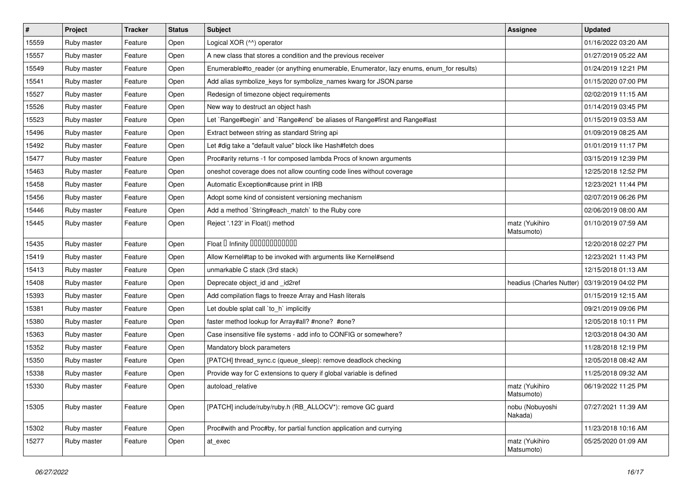| $\vert$ # | Project     | <b>Tracker</b> | <b>Status</b> | Subject                                                                                 | Assignee                     | <b>Updated</b>      |
|-----------|-------------|----------------|---------------|-----------------------------------------------------------------------------------------|------------------------------|---------------------|
| 15559     | Ruby master | Feature        | Open          | Logical XOR (^^) operator                                                               |                              | 01/16/2022 03:20 AM |
| 15557     | Ruby master | Feature        | Open          | A new class that stores a condition and the previous receiver                           |                              | 01/27/2019 05:22 AM |
| 15549     | Ruby master | Feature        | Open          | Enumerable#to_reader (or anything enumerable, Enumerator, lazy enums, enum_for results) |                              | 01/24/2019 12:21 PM |
| 15541     | Ruby master | Feature        | Open          | Add alias symbolize_keys for symbolize_names kwarg for JSON.parse                       |                              | 01/15/2020 07:00 PM |
| 15527     | Ruby master | Feature        | Open          | Redesign of timezone object requirements                                                |                              | 02/02/2019 11:15 AM |
| 15526     | Ruby master | Feature        | Open          | New way to destruct an object hash                                                      |                              | 01/14/2019 03:45 PM |
| 15523     | Ruby master | Feature        | Open          | Let `Range#begin` and `Range#end` be aliases of Range#first and Range#last              |                              | 01/15/2019 03:53 AM |
| 15496     | Ruby master | Feature        | Open          | Extract between string as standard String api                                           |                              | 01/09/2019 08:25 AM |
| 15492     | Ruby master | Feature        | Open          | Let #dig take a "default value" block like Hash#fetch does                              |                              | 01/01/2019 11:17 PM |
| 15477     | Ruby master | Feature        | Open          | Proc#arity returns -1 for composed lambda Procs of known arguments                      |                              | 03/15/2019 12:39 PM |
| 15463     | Ruby master | Feature        | Open          | oneshot coverage does not allow counting code lines without coverage                    |                              | 12/25/2018 12:52 PM |
| 15458     | Ruby master | Feature        | Open          | Automatic Exception#cause print in IRB                                                  |                              | 12/23/2021 11:44 PM |
| 15456     | Ruby master | Feature        | Open          | Adopt some kind of consistent versioning mechanism                                      |                              | 02/07/2019 06:26 PM |
| 15446     | Ruby master | Feature        | Open          | Add a method `String#each_match` to the Ruby core                                       |                              | 02/06/2019 08:00 AM |
| 15445     | Ruby master | Feature        | Open          | Reject '.123' in Float() method                                                         | matz (Yukihiro<br>Matsumoto) | 01/10/2019 07:59 AM |
| 15435     | Ruby master | Feature        | Open          | Float D Infinity 000000000000                                                           |                              | 12/20/2018 02:27 PM |
| 15419     | Ruby master | Feature        | Open          | Allow Kernel#tap to be invoked with arguments like Kernel#send                          |                              | 12/23/2021 11:43 PM |
| 15413     | Ruby master | Feature        | Open          | unmarkable C stack (3rd stack)                                                          |                              | 12/15/2018 01:13 AM |
| 15408     | Ruby master | Feature        | Open          | Deprecate object_id and _id2ref                                                         | headius (Charles Nutter)     | 03/19/2019 04:02 PM |
| 15393     | Ruby master | Feature        | Open          | Add compilation flags to freeze Array and Hash literals                                 |                              | 01/15/2019 12:15 AM |
| 15381     | Ruby master | Feature        | Open          | Let double splat call 'to_h' implicitly                                                 |                              | 09/21/2019 09:06 PM |
| 15380     | Ruby master | Feature        | Open          | faster method lookup for Array#all? #none? #one?                                        |                              | 12/05/2018 10:11 PM |
| 15363     | Ruby master | Feature        | Open          | Case insensitive file systems - add info to CONFIG or somewhere?                        |                              | 12/03/2018 04:30 AM |
| 15352     | Ruby master | Feature        | Open          | Mandatory block parameters                                                              |                              | 11/28/2018 12:19 PM |
| 15350     | Ruby master | Feature        | Open          | [PATCH] thread_sync.c (queue_sleep): remove deadlock checking                           |                              | 12/05/2018 08:42 AM |
| 15338     | Ruby master | Feature        | Open          | Provide way for C extensions to query if global variable is defined                     |                              | 11/25/2018 09:32 AM |
| 15330     | Ruby master | Feature        | Open          | autoload_relative                                                                       | matz (Yukihiro<br>Matsumoto) | 06/19/2022 11:25 PM |
| 15305     | Ruby master | Feature        | Open          | [PATCH] include/ruby/ruby.h (RB_ALLOCV*): remove GC guard                               | nobu (Nobuyoshi<br>Nakada)   | 07/27/2021 11:39 AM |
| 15302     | Ruby master | Feature        | Open          | Proc#with and Proc#by, for partial function application and currying                    |                              | 11/23/2018 10:16 AM |
| 15277     | Ruby master | Feature        | Open          | at_exec                                                                                 | matz (Yukihiro<br>Matsumoto) | 05/25/2020 01:09 AM |